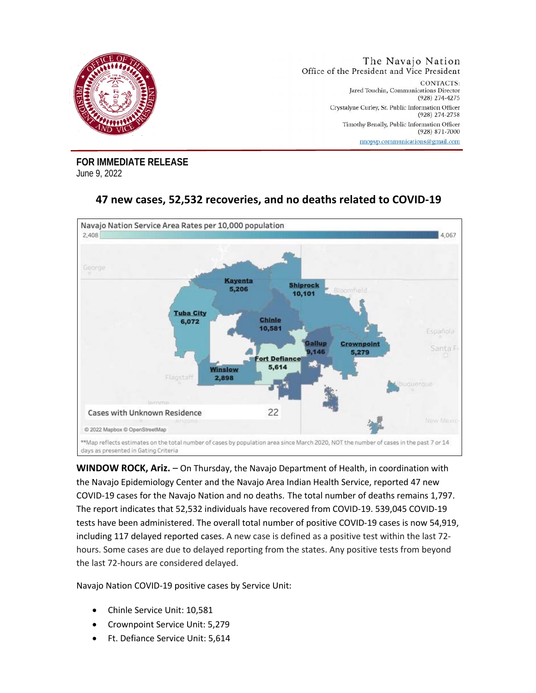

**FOR IMMEDIATE RELEASE** June 9, 2022



## **47 new cases, 52,532 recoveries, and no deaths related to COVID-19**

**WINDOW ROCK, Ariz.** – On Thursday, the Navajo Department of Health, in coordination with the Navajo Epidemiology Center and the Navajo Area Indian Health Service, reported 47 new COVID-19 cases for the Navajo Nation and no deaths. The total number of deaths remains 1,797. The report indicates that 52,532 individuals have recovered from COVID-19. 539,045 COVID-19 tests have been administered. The overall total number of positive COVID-19 cases is now 54,919, including 117 delayed reported cases. A new case is defined as a positive test within the last 72 hours. Some cases are due to delayed reporting from the states. Any positive tests from beyond the last 72-hours are considered delayed.

Navajo Nation COVID-19 positive cases by Service Unit:

- Chinle Service Unit: 10,581
- Crownpoint Service Unit: 5,279
- Ft. Defiance Service Unit: 5,614